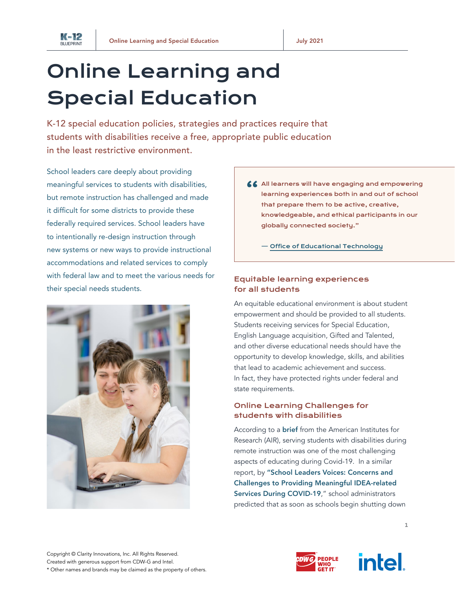

## Online Learning and Special Education

K-12 special education policies, strategies and practices require that students with disabilities receive a free, appropriate public education in the least restrictive environment.

School leaders care deeply about providing meaningful services to students with disabilities, but remote instruction has challenged and made it difficult for some districts to provide these federally required services. School leaders have to intentionally re-design instruction through new systems or new ways to provide instructional accommodations and related services to comply with federal law and to meet the various needs for their special needs students.



66 All learners will have engaging and empowering learning experiences both in and out of school that prepare them to be active, creative, knowledgeable, and ethical participants in our globally connected society."

— Office of [Educational](https://tech.ed.gov/netp/learning/) Technology

## Equitable learning experiences for all students

An equitable educational environment is about student empowerment and should be provided to all students. Students receiving services for Special Education, English Language acquisition, Gifted and Talented, and other diverse educational needs should have the opportunity to develop knowledge, skills, and abilities that lead to academic achievement and success. In fact, they have protected rights under federal and state requirements.

## Online Learning Challenges for students with disabilities

According to a [brief](https://www.air.org/sites/default/files/COVID-Survey-Spotlight-on-Students-with-Disabilities-FINAL-Oct-2020.pdf) from the American Institutes for Research (AIR), serving students with disabilities during remote instruction was one of the most challenging aspects of educating during Covid-19. In a similar report, by ["School Leaders Voices: Concerns and](https://aasa.org/uploadedFiles/AASA_Blog(1)/Advocacy%20IDEA%20White%20Paper%20FINAL.pdf)  [Challenges to Providing Meaningful IDEA-related](https://aasa.org/uploadedFiles/AASA_Blog(1)/Advocacy%20IDEA%20White%20Paper%20FINAL.pdf)  [Services During COVID-19](https://aasa.org/uploadedFiles/AASA_Blog(1)/Advocacy%20IDEA%20White%20Paper%20FINAL.pdf)," school administrators predicted that as soon as schools begin shutting down